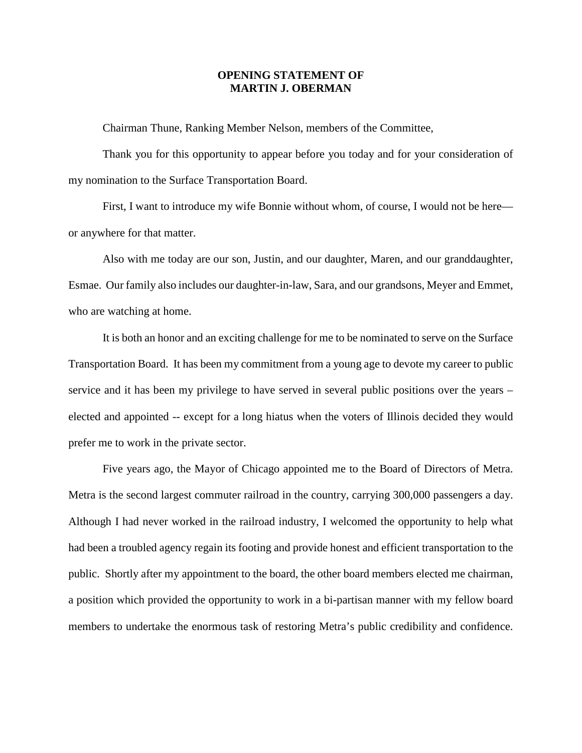## **OPENING STATEMENT OF MARTIN J. OBERMAN**

Chairman Thune, Ranking Member Nelson, members of the Committee,

Thank you for this opportunity to appear before you today and for your consideration of my nomination to the Surface Transportation Board.

First, I want to introduce my wife Bonnie without whom, of course, I would not be here or anywhere for that matter.

Also with me today are our son, Justin, and our daughter, Maren, and our granddaughter, Esmae. Our family also includes our daughter-in-law, Sara, and our grandsons, Meyer and Emmet, who are watching at home.

It is both an honor and an exciting challenge for me to be nominated to serve on the Surface Transportation Board. It has been my commitment from a young age to devote my career to public service and it has been my privilege to have served in several public positions over the years – elected and appointed -- except for a long hiatus when the voters of Illinois decided they would prefer me to work in the private sector.

Five years ago, the Mayor of Chicago appointed me to the Board of Directors of Metra. Metra is the second largest commuter railroad in the country, carrying 300,000 passengers a day. Although I had never worked in the railroad industry, I welcomed the opportunity to help what had been a troubled agency regain its footing and provide honest and efficient transportation to the public. Shortly after my appointment to the board, the other board members elected me chairman, a position which provided the opportunity to work in a bi-partisan manner with my fellow board members to undertake the enormous task of restoring Metra's public credibility and confidence.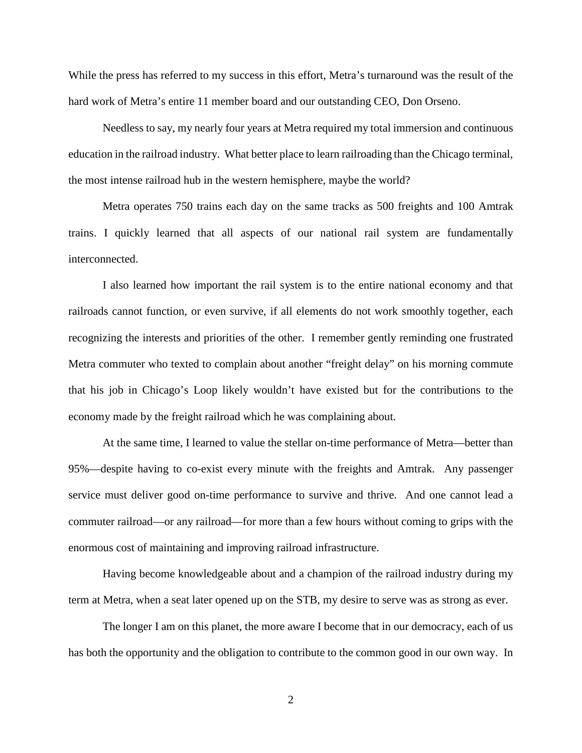While the press has referred to my success in this effort, Metra's turnaround was the result of the hard work of Metra's entire 11 member board and our outstanding CEO, Don Orseno.

Needless to say, my nearly four years at Metra required my total immersion and continuous education in the railroad industry. What better place to learn railroading than the Chicago terminal, the most intense railroad hub in the western hemisphere, maybe the world?

Metra operates 750 trains each day on the same tracks as 500 freights and 100 Amtrak trains. I quickly learned that all aspects of our national rail system are fundamentally interconnected.

I also learned how important the rail system is to the entire national economy and that railroads cannot function, or even survive, if all elements do not work smoothly together, each recognizing the interests and priorities of the other. I remember gently reminding one frustrated Metra commuter who texted to complain about another "freight delay" on his morning commute that his job in Chicago's Loop likely wouldn't have existed but for the contributions to the economy made by the freight railroad which he was complaining about.

At the same time, I learned to value the stellar on-time performance of Metra—better than 95%—despite having to co-exist every minute with the freights and Amtrak. Any passenger service must deliver good on-time performance to survive and thrive. And one cannot lead a commuter railroad—or any railroad—for more than a few hours without coming to grips with the enormous cost of maintaining and improving railroad infrastructure.

Having become knowledgeable about and a champion of the railroad industry during my term at Metra, when a seat later opened up on the STB, my desire to serve was as strong as ever.

The longer I am on this planet, the more aware I become that in our democracy, each of us has both the opportunity and the obligation to contribute to the common good in our own way. In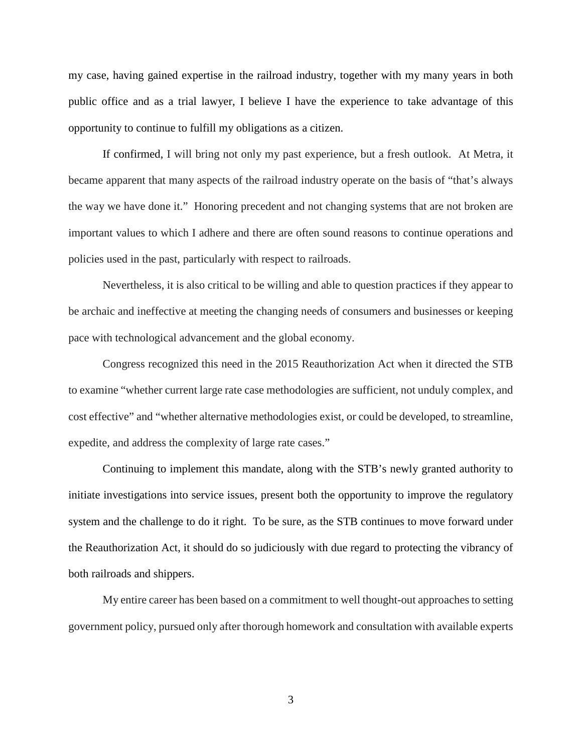my case, having gained expertise in the railroad industry, together with my many years in both public office and as a trial lawyer, I believe I have the experience to take advantage of this opportunity to continue to fulfill my obligations as a citizen.

If confirmed, I will bring not only my past experience, but a fresh outlook. At Metra, it became apparent that many aspects of the railroad industry operate on the basis of "that's always the way we have done it." Honoring precedent and not changing systems that are not broken are important values to which I adhere and there are often sound reasons to continue operations and policies used in the past, particularly with respect to railroads.

Nevertheless, it is also critical to be willing and able to question practices if they appear to be archaic and ineffective at meeting the changing needs of consumers and businesses or keeping pace with technological advancement and the global economy.

Congress recognized this need in the 2015 Reauthorization Act when it directed the STB to examine "whether current large rate case methodologies are sufficient, not unduly complex, and cost effective" and "whether alternative methodologies exist, or could be developed, to streamline, expedite, and address the complexity of large rate cases."

Continuing to implement this mandate, along with the STB's newly granted authority to initiate investigations into service issues, present both the opportunity to improve the regulatory system and the challenge to do it right. To be sure, as the STB continues to move forward under the Reauthorization Act, it should do so judiciously with due regard to protecting the vibrancy of both railroads and shippers.

My entire career has been based on a commitment to well thought-out approaches to setting government policy, pursued only after thorough homework and consultation with available experts

3